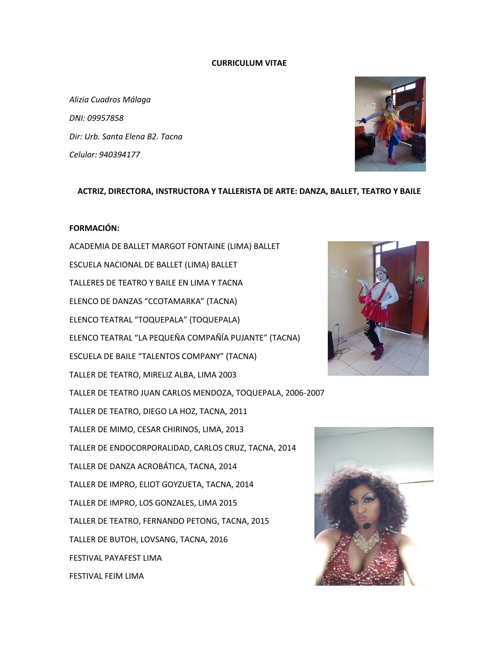### **CURRICULUM VITAE**

*Alizia Cuadros Málaga DNI: 09957858 Dir: Urb. Santa Elena B2. Tacna Celular: 940394177*



#### **ACTRIZ, DIRECTORA, INSTRUCTORA Y TALLERISTA DE ARTE: DANZA, BALLET, TEATRO Y BAILE**

## **FORMACIÓN:**

ACADEMIA DE BALLET MARGOT FONTAINE (LIMA) BALLET ESCUELA NACIONAL DE BALLET (LIMA) BALLET TALLERES DE TEATRO Y BAILE EN LIMA Y TACNA ELENCO DE DANZAS "CCOTAMARKA" (TACNA) ELENCO TEATRAL "TOQUEPALA" (TOQUEPALA) ELENCO TEATRAL "LA PEQUEÑA COMPAÑÍA PUJANTE" (TACNA) ESCUELA DE BAILE "TALENTOS COMPANY" (TACNA) TALLER DE TEATRO, MIRELIZ ALBA, LIMA 2003 TALLER DE TEATRO JUAN CARLOS MENDOZA, TOQUEPALA, 2006-2007 TALLER DE TEATRO, DIEGO LA HOZ, TACNA, 2011 TALLER DE MIMO, CESAR CHIRINOS, LIMA, 2013 TALLER DE ENDOCORPORALIDAD, CARLOS CRUZ, TACNA, 2014 TALLER DE DANZA ACROBÁTICA, TACNA, 2014 TALLER DE IMPRO, ELIOT GOYZUETA, TACNA, 2014 TALLER DE IMPRO, LOS GONZALES, LIMA 2015 TALLER DE TEATRO, FERNANDO PETONG, TACNA, 2015 TALLER DE BUTOH, LOVSANG, TACNA, 2016 FESTIVAL PAYAFEST LIMA FESTIVAL FEIM LIMA



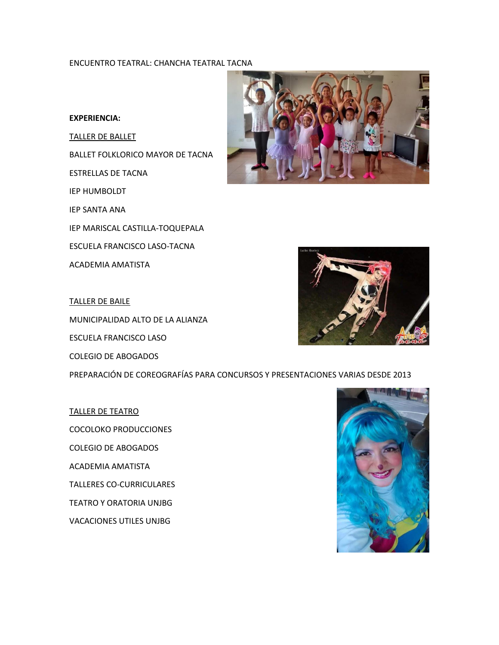## ENCUENTRO TEATRAL: CHANCHA TEATRAL TACNA

### **EXPERIENCIA:**

TALLER DE BALLET BALLET FOLKLORICO MAYOR DE TACNA ESTRELLAS DE TACNA IEP HUMBOLDT IEP SANTA ANA IEP MARISCAL CASTILLA-TOQUEPALA ESCUELA FRANCISCO LASO-TACNA ACADEMIA AMATISTA





TALLER DE BAILE MUNICIPALIDAD ALTO DE LA ALIANZA

ESCUELA FRANCISCO LASO COLEGIO DE ABOGADOS

PREPARACIÓN DE COREOGRAFÍAS PARA CONCURSOS Y PRESENTACIONES VARIAS DESDE 2013

TALLER DE TEATRO COCOLOKO PRODUCCIONES COLEGIO DE ABOGADOS ACADEMIA AMATISTA TALLERES CO-CURRICULARES TEATRO Y ORATORIA UNJBG VACACIONES UTILES UNJBG

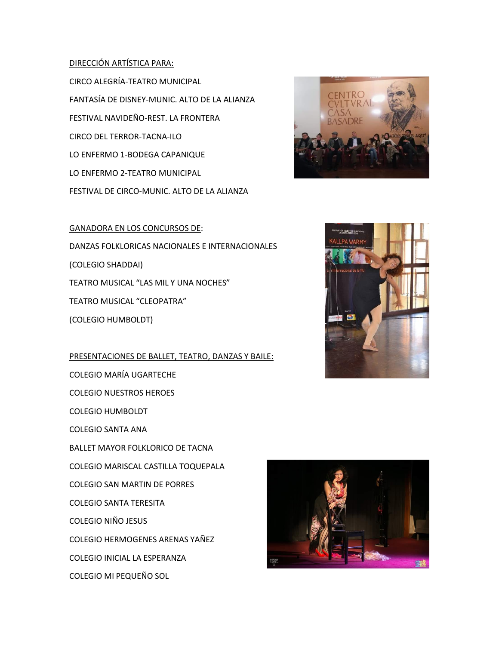## DIRECCIÓN ARTÍSTICA PARA:

CIRCO ALEGRÍA-TEATRO MUNICIPAL FANTASÍA DE DISNEY-MUNIC. ALTO DE LA ALIANZA FESTIVAL NAVIDEÑO-REST. LA FRONTERA CIRCO DEL TERROR-TACNA-ILO LO ENFERMO 1-BODEGA CAPANIQUE LO ENFERMO 2-TEATRO MUNICIPAL FESTIVAL DE CIRCO-MUNIC. ALTO DE LA ALIANZA



GANADORA EN LOS CONCURSOS DE: DANZAS FOLKLORICAS NACIONALES E INTERNACIONALES (COLEGIO SHADDAI) TEATRO MUSICAL "LAS MIL Y UNA NOCHES" TEATRO MUSICAL "CLEOPATRA" (COLEGIO HUMBOLDT)

PRESENTACIONES DE BALLET, TEATRO, DANZAS Y BAILE: COLEGIO MARÍA UGARTECHE

COLEGIO NUESTROS HEROES

COLEGIO HUMBOLDT

COLEGIO SANTA ANA

BALLET MAYOR FOLKLORICO DE TACNA

COLEGIO MARISCAL CASTILLA TOQUEPALA

COLEGIO SAN MARTIN DE PORRES

COLEGIO SANTA TERESITA

COLEGIO NIÑO JESUS

COLEGIO HERMOGENES ARENAS YAÑEZ

COLEGIO INICIAL LA ESPERANZA

COLEGIO MI PEQUEÑO SOL